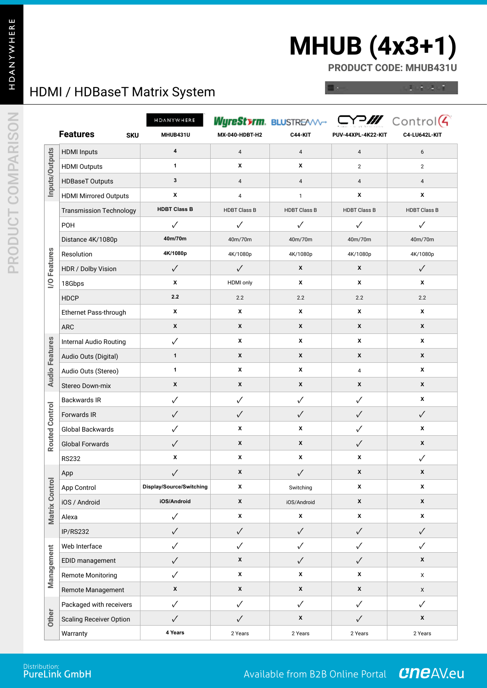# **MHUB (4x3+1)**

**PRODUCT CODE: MHUB431U**

### HDMI / HDBaseT Matrix System

 $1.3.4.1$ 

|                       |                                | HDANYWHERE               |                         | Wyre <b>Styrm.</b> BLUSTR <del>EAVV-</del> |                     | $C$ $M$ Control $\left($ |
|-----------------------|--------------------------------|--------------------------|-------------------------|--------------------------------------------|---------------------|--------------------------|
|                       | <b>Features</b><br><b>SKU</b>  | MHUB431U                 | MX-040-HDBT-H2          | C44-KIT                                    | PUV-44XPL-4K22-KIT  | <b>C4-LU642L-KIT</b>     |
| Inputs/Outputs        | <b>HDMI</b> Inputs             | 4                        | $\pmb{4}$               | 4                                          | $\overline{4}$      | 6                        |
|                       | <b>HDMI Outputs</b>            | 1                        | X                       | х                                          | $\mathbf{2}$        | $\overline{c}$           |
|                       | <b>HDBaseT Outputs</b>         | 3                        | 4                       | $\overline{4}$                             | $\overline{4}$      | $\overline{4}$           |
|                       | <b>HDMI Mirrored Outputs</b>   | X                        | $\overline{\mathbf{4}}$ | $\mathbf{1}$                               | X                   | x                        |
|                       | <b>Transmission Technology</b> | <b>HDBT Class B</b>      | <b>HDBT Class B</b>     | <b>HDBT Class B</b>                        | <b>HDBT Class B</b> | <b>HDBT Class B</b>      |
|                       | POH                            | ✓                        | ✓                       | $\checkmark$                               | $\checkmark$        | $\checkmark$             |
|                       | Distance 4K/1080p              | 40m/70m                  | 40m/70m                 | 40m/70m                                    | 40m/70m             | 40m/70m                  |
|                       | Resolution                     | 4K/1080p                 | 4K/1080p                | 4K/1080p                                   | 4K/1080p            | 4K/1080p                 |
| <b>I/O Features</b>   | HDR / Dolby Vision             | $\checkmark$             | $\checkmark$            | X                                          | X                   | $\checkmark$             |
|                       | 18Gbps                         | X                        | <b>HDMI</b> only        | X                                          | X                   | x                        |
|                       | <b>HDCP</b>                    | 2.2                      | 2.2                     | 2.2                                        | 2.2                 | 2.2                      |
|                       | Ethernet Pass-through          | X                        | X                       | X                                          | X                   | X                        |
|                       | <b>ARC</b>                     | $\pmb{\mathsf{x}}$       | X                       | X                                          | X                   | X                        |
|                       | Internal Audio Routing         | ✓                        | х                       | X                                          | X                   | x                        |
|                       | Audio Outs (Digital)           | $\mathbf{1}$             | X                       | X                                          | X                   | X                        |
| <b>Audio Features</b> | Audio Outs (Stereo)            | 1                        | X                       | X                                          | 4                   | X                        |
|                       | Stereo Down-mix                | $\pmb{\mathsf{x}}$       | X                       | X                                          | X                   | X                        |
|                       | <b>Backwards IR</b>            | $\checkmark$             | ✓                       | $\checkmark$                               | $\checkmark$        | x                        |
| Routed Control        | Forwards IR                    | $\checkmark$             | $\checkmark$            | $\checkmark$                               | $\checkmark$        | $\checkmark$             |
|                       | Global Backwards               | $\checkmark$             | X                       | X                                          | $\checkmark$        | X                        |
|                       | <b>Global Forwards</b>         | $\checkmark$             | $\pmb{\mathsf{x}}$      | X                                          | $\checkmark$        | $\pmb{\mathsf{x}}$       |
|                       | <b>RS232</b>                   | X                        | X                       | X                                          | x                   | $\checkmark$             |
|                       | App                            | $\checkmark$             | X                       | $\checkmark$                               | X                   | X                        |
|                       | App Control                    | Display/Source/Switching | X                       | Switching                                  | X                   | X                        |
| Matrix Control        | iOS / Android                  | iOS/Android              | $\pmb{\mathsf{x}}$      | iOS/Android                                | $\pmb{\mathsf{x}}$  | $\pmb{\mathsf{x}}$       |
|                       | Alexa                          | $\checkmark$             | $\pmb{\mathsf{x}}$      | $\pmb{\mathsf{x}}$                         | $\pmb{\mathsf{x}}$  | $\pmb{\mathsf{x}}$       |
|                       | IP/RS232                       | $\checkmark$             | $\checkmark$            | $\checkmark$                               | $\checkmark$        | $\checkmark$             |
|                       | Web Interface                  | $\checkmark$             | $\checkmark$            | $\checkmark$                               | $\checkmark$        | $\checkmark$             |
| Management            | EDID management                | $\checkmark$             | $\pmb{\mathsf{x}}$      | $\checkmark$                               | $\checkmark$        | X                        |
|                       | <b>Remote Monitoring</b>       | $\checkmark$             | $\pmb{\mathsf{x}}$      | X                                          | X                   | X                        |
|                       | Remote Management              | $\pmb{\mathsf{x}}$       | $\pmb{\mathsf{x}}$      | $\pmb{\mathsf{x}}$                         | $\pmb{\mathsf{x}}$  | X                        |
|                       | Packaged with receivers        | $\checkmark$             | $\checkmark$            | $\checkmark$                               | $\checkmark$        | $\checkmark$             |
| Other                 | <b>Scaling Receiver Option</b> | $\checkmark$             | $\checkmark$            | $\pmb{\mathsf{x}}$                         | $\checkmark$        | X                        |
|                       | Warranty                       | 4 Years                  | 2 Years                 | 2 Years                                    | 2 Years             | 2 Years                  |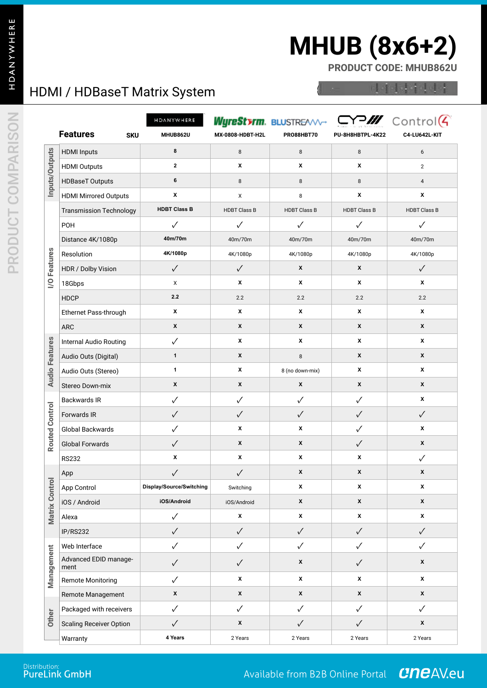## **MHUB (8x6+2)**

**PRODUCT CODE: MHUB862U**

### HDMI / HDBaseT Matrix System

4444444

|                       |                                | HDANYWHERE               |                     | Wyrestyrm. BLUSTREAVV- |                     | $CY$ Control $G$    |
|-----------------------|--------------------------------|--------------------------|---------------------|------------------------|---------------------|---------------------|
|                       | <b>Features</b><br><b>SKU</b>  | MHUB862U                 | MX-0808-HDBT-H2L    | PRO88HBT70             | PU-8H8HBTPL-4K22    | C4-LU642L-KIT       |
| Inputs/Outputs        | <b>HDMI</b> Inputs             | 8                        | 8                   | $\,8\,$                | $\,8\,$             | 6                   |
|                       | <b>HDMI Outputs</b>            | $\mathbf{2}$             | X                   | X                      | X                   | $\overline{2}$      |
|                       | <b>HDBaseT Outputs</b>         | 6                        | 8                   | 8                      | 8                   | $\overline{4}$      |
|                       | <b>HDMI Mirrored Outputs</b>   | X                        | X                   | 8                      | x                   | X                   |
|                       | <b>Transmission Technology</b> | <b>HDBT Class B</b>      | <b>HDBT Class B</b> | <b>HDBT Class B</b>    | <b>HDBT Class B</b> | <b>HDBT Class B</b> |
|                       | POH                            | $\checkmark$             | $\checkmark$        | $\checkmark$           | $\checkmark$        | $\checkmark$        |
|                       | Distance 4K/1080p              | 40m/70m                  | 40m/70m             | 40m/70m                | 40m/70m             | 40m/70m             |
|                       | Resolution                     | 4K/1080p                 | 4K/1080p            | 4K/1080p               | 4K/1080p            | 4K/1080p            |
| <b>I/O Features</b>   | HDR / Dolby Vision             | $\checkmark$             | $\checkmark$        | X                      | X                   | $\checkmark$        |
|                       | 18Gbps                         | X                        | x                   | X                      | X                   | X                   |
|                       | <b>HDCP</b>                    | 2.2                      | 2.2                 | 2.2                    | 2.2                 | 2.2                 |
|                       | Ethernet Pass-through          | X                        | X                   | X                      | X                   | X                   |
|                       | <b>ARC</b>                     | X                        | X                   | X                      | X                   | X                   |
|                       | Internal Audio Routing         | $\checkmark$             | X                   | X                      | X                   | X                   |
| <b>Audio Features</b> | Audio Outs (Digital)           | $\mathbf{1}$             | X                   | 8                      | X                   | X                   |
|                       | Audio Outs (Stereo)            | 1                        | Х                   | 8 (no down-mix)        | x                   | х                   |
|                       | Stereo Down-mix                | X                        | X                   | X                      | X                   | X                   |
|                       | <b>Backwards IR</b>            | $\checkmark$             | $\checkmark$        | $\checkmark$           | $\checkmark$        | X                   |
| <b>Routed Control</b> | Forwards IR                    | $\checkmark$             | $\checkmark$        | $\checkmark$           | $\checkmark$        | $\checkmark$        |
|                       | Global Backwards               | $\checkmark$             | X                   | X                      | $\checkmark$        | X                   |
|                       | <b>Global Forwards</b>         | $\checkmark$             | X                   | X                      | $\checkmark$        | X                   |
|                       | <b>RS232</b>                   | X                        | X                   | X                      | x                   | ✓                   |
|                       | App                            | $\checkmark$             | $\checkmark$        | $\pmb{\mathsf{x}}$     | X                   | X                   |
|                       | App Control                    | Display/Source/Switching | Switching           | X                      | x                   | X                   |
| Matrix Control        | iOS / Android                  | iOS/Android              | iOS/Android         | $\pmb{\mathsf{x}}$     | X                   | $\pmb{\mathsf{x}}$  |
|                       | Alexa                          | $\checkmark$             | $\pmb{\mathsf{x}}$  | X                      | x                   | X                   |
|                       | IP/RS232                       | $\checkmark$             | $\checkmark$        | $\checkmark$           | $\checkmark$        | $\checkmark$        |
|                       | Web Interface                  | $\checkmark$             | $\checkmark$        | $\checkmark$           | $\checkmark$        | ✓                   |
| Management            | Advanced EDID manage-<br>ment  | $\checkmark$             | $\checkmark$        | $\pmb{\mathsf{x}}$     | $\checkmark$        | X                   |
|                       | <b>Remote Monitoring</b>       | $\checkmark$             | x                   | x                      | x                   | $\pmb{\mathsf{x}}$  |
|                       | Remote Management              | $\pmb{\mathsf{x}}$       | $\pmb{\mathsf{x}}$  | $\pmb{\mathsf{x}}$     | $\pmb{\mathsf{x}}$  | $\pmb{\chi}$        |
|                       | Packaged with receivers        | $\checkmark$             | $\checkmark$        | $\checkmark$           | $\checkmark$        | $\checkmark$        |
| Other                 | <b>Scaling Receiver Option</b> | $\checkmark$             | $\pmb{\mathsf{x}}$  | $\checkmark$           | $\checkmark$        | $\pmb{\mathsf{x}}$  |
|                       | Warranty                       | 4 Years                  | 2 Years             | 2 Years                | 2 Years             | 2 Years             |

**PRO.HDANYWHERE.COM** Distribution: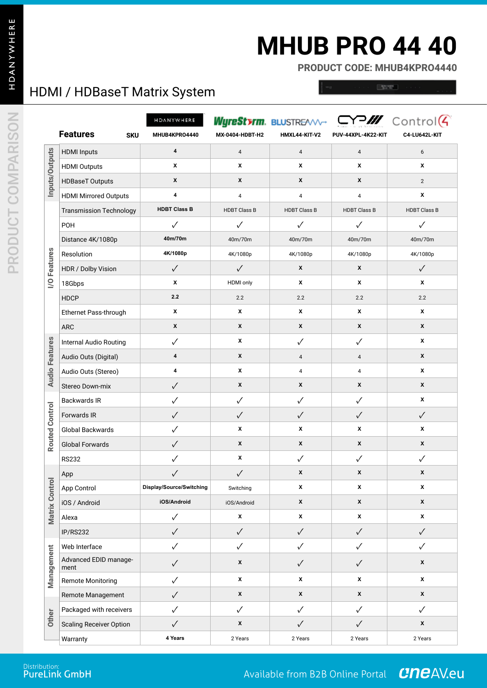### **MHUB PRO 44 40**

**PRODUCT CODE: MHUB4KPRO4440**

### HDMI / HDBaseT Matrix System

 $-2225$ 

|                       |                                | HDANYWHERE               |                     | Wyre <b>Sterm.</b> Blustr <del>eamer</del> |                     | $\Box$ P $\mathscr{M}$ Control(4) |
|-----------------------|--------------------------------|--------------------------|---------------------|--------------------------------------------|---------------------|-----------------------------------|
|                       | <b>Features</b><br><b>SKU</b>  | MHUB4KPRO4440            | MX-0404-HDBT-H2     | HMXL44-KIT-V2                              | PUV-44XPL-4K22-KIT  | C4-LU642L-KIT                     |
| Inputs/Outputs        | <b>HDMI</b> Inputs             | $\pmb{4}$                | $\overline{4}$      | $\overline{\mathbf{4}}$                    | $\overline{4}$      | 6                                 |
|                       | <b>HDMI Outputs</b>            | X                        | X                   | X                                          | X                   | X                                 |
|                       | <b>HDBaseT Outputs</b>         | X                        | X                   | X                                          | X                   | 2                                 |
|                       | <b>HDMI Mirrored Outputs</b>   | 4                        | 4                   | 4                                          | 4                   | X                                 |
|                       | <b>Transmission Technology</b> | <b>HDBT Class B</b>      | <b>HDBT Class B</b> | <b>HDBT Class B</b>                        | <b>HDBT Class B</b> | <b>HDBT Class B</b>               |
|                       | POH                            | $\checkmark$             | $\checkmark$        | $\checkmark$                               | $\checkmark$        | $\checkmark$                      |
|                       | Distance 4K/1080p              | 40m/70m                  | 40m/70m             | 40m/70m                                    | 40m/70m             | 40m/70m                           |
|                       | Resolution                     | 4K/1080p                 | 4K/1080p            | 4K/1080p                                   | 4K/1080p            | 4K/1080p                          |
| <b>I/O Features</b>   | HDR / Dolby Vision             | $\checkmark$             | $\checkmark$        | X                                          | X                   | $\checkmark$                      |
|                       | 18Gbps                         | X                        | <b>HDMI</b> only    | х                                          | х                   | x                                 |
|                       | <b>HDCP</b>                    | 2.2                      | 2.2                 | 2.2                                        | 2.2                 | 2.2                               |
|                       | Ethernet Pass-through          | х                        | x                   | X                                          | х                   | х                                 |
|                       | <b>ARC</b>                     | X                        | X                   | X                                          | X                   | X                                 |
|                       | <b>Internal Audio Routing</b>  | $\checkmark$             | x                   | $\checkmark$                               | $\checkmark$        | х                                 |
|                       | Audio Outs (Digital)           | 4                        | X                   | 4                                          | $\overline{4}$      | X                                 |
| <b>Audio Features</b> | Audio Outs (Stereo)            | 4                        | x                   | 4                                          | 4                   | х                                 |
|                       | Stereo Down-mix                | $\checkmark$             | X                   | X                                          | X                   | X                                 |
|                       | Backwards IR                   | $\checkmark$             | $\checkmark$        | $\checkmark$                               | $\checkmark$        | х                                 |
| <b>Routed Control</b> | Forwards IR                    | $\checkmark$             | $\checkmark$        | ✓                                          | ✓                   | $\checkmark$                      |
|                       | Global Backwards               | ✓                        | X                   | X                                          | х                   | X                                 |
|                       | <b>Global Forwards</b>         | $\checkmark$             | X                   | X                                          | X                   | X                                 |
|                       | <b>RS232</b>                   | ✓                        | X                   | $\checkmark$                               | $\checkmark$        | $\checkmark$                      |
|                       | App                            | $\checkmark$             | $\checkmark$        | X                                          | X                   | x                                 |
|                       | App Control                    | Display/Source/Switching | Switching           | х                                          | X                   | x                                 |
|                       | iOS / Android                  | iOS/Android              | iOS/Android         | $\pmb{\mathsf{x}}$                         | $\pmb{\mathsf{x}}$  | $\pmb{\mathsf{x}}$                |
| <b>Matrix Control</b> | Alexa                          | $\checkmark$             | X                   | x                                          | X                   | x                                 |
|                       | IP/RS232                       | $\checkmark$             | $\checkmark$        | $\checkmark$                               | $\checkmark$        | $\checkmark$                      |
|                       | Web Interface                  | $\checkmark$             | $\checkmark$        | $\checkmark$                               | $\checkmark$        | $\checkmark$                      |
| Management            | Advanced EDID manage-<br>ment  | $\checkmark$             | $\pmb{\mathsf{x}}$  | $\checkmark$                               | $\checkmark$        | $\pmb{\mathsf{x}}$                |
|                       | <b>Remote Monitoring</b>       | $\checkmark$             | x                   | X                                          | X                   | X                                 |
|                       | Remote Management              | $\checkmark$             | $\pmb{\mathsf{x}}$  | X                                          | $\pmb{\mathsf{x}}$  | X                                 |
|                       | Packaged with receivers        | $\checkmark$             | $\checkmark$        | $\checkmark$                               | $\checkmark$        | $\checkmark$                      |
| Other                 | <b>Scaling Receiver Option</b> | $\checkmark$             | $\pmb{\mathsf{x}}$  | $\checkmark$                               | $\checkmark$        | $\pmb{\mathsf{x}}$                |
|                       | Warranty                       | 4 Years                  | 2 Years             | 2 Years                                    | 2 Years             | 2 Years                           |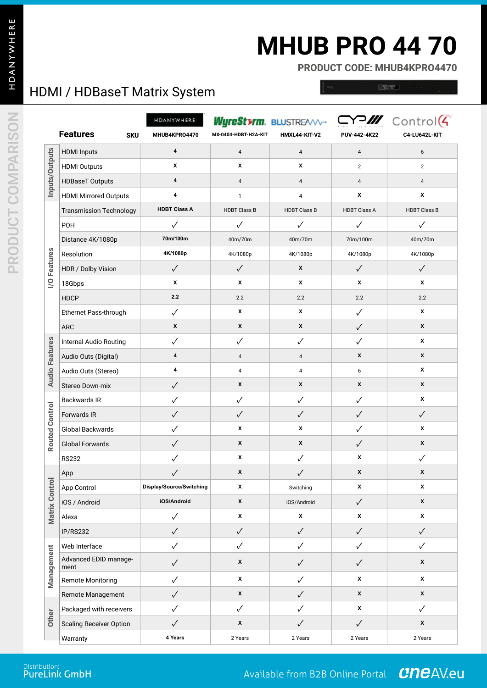## **MHUB PRO 44 70**

**PRODUCT CODE: MHUB4KPRO4470**

### HDMI / HDBaseT Matrix System

 $\sim$ 

|                       | <b>Features</b><br><b>SKU</b>  | HDANYWHERE<br>MHUB4KPR04470 | MX-0404-HDBT-H2A-KIT | Wyre <b>Sterm.</b> BLUSTR <del>EAVV-</del><br>HMXL44-KIT-V2 | PUV-442-4K22            | Y <sup>2</sup> /// Control <sup>(</sup><br>C4-LU642L-KIT |
|-----------------------|--------------------------------|-----------------------------|----------------------|-------------------------------------------------------------|-------------------------|----------------------------------------------------------|
|                       | <b>HDMI</b> Inputs             | 4                           | $\overline{4}$       | $\sqrt{4}$                                                  | $\overline{\mathbf{4}}$ | 6                                                        |
| Inputs/Outputs        | <b>HDMI Outputs</b>            | X                           | X                    | x                                                           | $\overline{2}$          | $\overline{2}$                                           |
|                       | <b>HDBaseT Outputs</b>         | 4                           | $\overline{4}$       | 4                                                           | $\overline{4}$          | $\overline{4}$                                           |
|                       | <b>HDMI Mirrored Outputs</b>   | 4                           | $\mathbf{1}$         | 4                                                           | X                       | X                                                        |
|                       | <b>Transmission Technology</b> | <b>HDBT Class A</b>         | <b>HDBT Class B</b>  | <b>HDBT Class B</b>                                         | <b>HDBT Class A</b>     | <b>HDBT Class B</b>                                      |
|                       | POH                            | ✓                           | $\checkmark$         | ✓                                                           | ✓                       | ✓                                                        |
|                       | Distance 4K/1080p              | 70m/100m                    | 40m/70m              | 40m/70m                                                     | 70m/100m                | 40m/70m                                                  |
|                       | Resolution                     | 4K/1080p                    | 4K/1080p             | 4K/1080p                                                    | 4K/1080p                | 4K/1080p                                                 |
|                       | HDR / Dolby Vision             | $\checkmark$                | $\checkmark$         | X                                                           | $\checkmark$            | $\checkmark$                                             |
| I/O Features          | 18Gbps                         | X                           | x                    | x                                                           | X                       | X                                                        |
|                       | <b>HDCP</b>                    | 2.2                         | 2.2                  | 2.2                                                         | 2.2                     | 2.2                                                      |
|                       | Ethernet Pass-through          | $\checkmark$                | X                    | x                                                           | ✓                       | х                                                        |
|                       | <b>ARC</b>                     | $\pmb{\chi}$                | X                    | X                                                           | $\checkmark$            | X                                                        |
|                       | Internal Audio Routing         | $\checkmark$                | $\checkmark$         | $\checkmark$                                                | ✓                       | X                                                        |
|                       | Audio Outs (Digital)           | 4                           | $\overline{4}$       | 4                                                           | X                       | X                                                        |
| <b>Audio Features</b> | Audio Outs (Stereo)            | 4                           | 4                    | 4                                                           | 6                       | X                                                        |
|                       | Stereo Down-mix                | $\checkmark$                | X                    | X                                                           | X                       | X                                                        |
|                       | <b>Backwards IR</b>            | $\checkmark$                | $\checkmark$         | $\checkmark$                                                | $\checkmark$            | X                                                        |
| <b>Routed Control</b> | Forwards IR                    | $\checkmark$                | $\checkmark$         | $\checkmark$                                                | $\checkmark$            | $\checkmark$                                             |
|                       | Global Backwards               | $\checkmark$                | X                    | X                                                           | ✓                       | X                                                        |
|                       | <b>Global Forwards</b>         | $\checkmark$                | X                    | X                                                           | $\checkmark$            | X                                                        |
|                       | <b>RS232</b>                   | ✓                           | X                    | $\checkmark$                                                | X                       | √                                                        |
|                       | App                            | $\checkmark$                | X                    |                                                             | X                       | X                                                        |
|                       | App Control                    | Display/Source/Switching    | x                    | Switching                                                   | X                       | X                                                        |
| Matrix Control        | iOS / Android                  | iOS/Android                 | $\pmb{\mathsf{x}}$   | iOS/Android                                                 | $\checkmark$            | X                                                        |
|                       | Alexa                          | $\checkmark$                | $\pmb{\mathsf{x}}$   | $\pmb{\mathsf{x}}$                                          | X                       | X                                                        |
|                       | IP/RS232                       | $\checkmark$                | $\checkmark$         | $\checkmark$                                                | $\checkmark$            | $\checkmark$                                             |
|                       | Web Interface                  | $\checkmark$                | $\checkmark$         | ✓                                                           | $\checkmark$            | ✓                                                        |
| Management            | Advanced EDID manage-<br>ment  | $\checkmark$                | $\pmb{\mathsf{x}}$   | $\checkmark$                                                | $\checkmark$            | $\pmb{\mathsf{x}}$                                       |
|                       | <b>Remote Monitoring</b>       | $\checkmark$                | X                    | ✓                                                           | X                       | $\pmb{\mathsf{x}}$                                       |
|                       | Remote Management              | $\checkmark$                | $\pmb{\mathsf{x}}$   | $\checkmark$                                                | $\pmb{\mathsf{x}}$      | X                                                        |
|                       | Packaged with receivers        | $\checkmark$                | $\checkmark$         | ✓                                                           | $\pmb{\mathsf{x}}$      | ✓                                                        |
| Other                 | <b>Scaling Receiver Option</b> | $\checkmark$                | $\pmb{\mathsf{x}}$   | $\checkmark$                                                | $\checkmark$            | $\pmb{\mathsf{x}}$                                       |
|                       | Warranty                       | 4 Years                     | 2 Years              | 2 Years                                                     | 2 Years                 | 2 Years                                                  |

**PRO.HDANYWHERE.COM** Distribution: